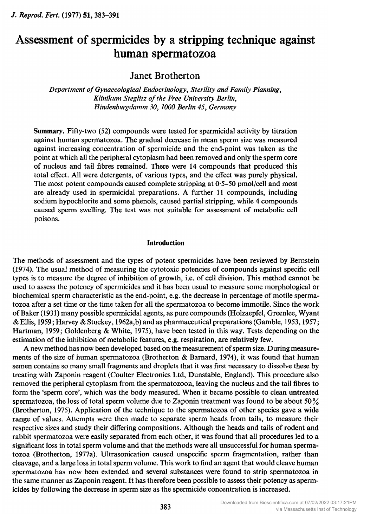J. Reprod. Fert. (1977) 51, 383-391

# Assessment of spermicides by <sup>a</sup> stripping technique against human spermatozoa

Janet Brotherton

Department ofGynaecological Endocrinology, Sterility and Family Planning, Klinikum Steglitz of the Free University Berlin, Hindenburgdamm 30,1000 Berlin 45, Germany

Summary. Fifty-two (52) compounds were tested for spermicidal activity by titration against human spermatozoa. The gradual decrease in mean sperm size was measured against increasing concentration of spermicide and the end-point was taken as the point at which all the peripheral cytoplasm had been removed and only the sperm core of nucleus and tail fibres remained. There were <sup>14</sup> compounds that produced this total effect. All were detergents, of various types, and the effect was purely physical. The most potent compounds caused complete stripping at  $0.5-50$  pmol/cell and most are already used in spermicidal preparations. A further <sup>11</sup> compounds, including sodium hypochlorite and some phenols, caused partial stripping, while 4 compounds caused sperm swelling. The test was not suitable for assessment of metabolic cell poisons.

#### **Introduction**

The methods of assessment and the types of potent spermicides have been reviewed by Bernstein (1974). The usual method of measuring the cytotoxic potencies of compounds against specific cell types is to measure the degree of inhibition of growth, i.e. of cell division. This method cannot be used to assess the potency of spermicides and it has been usual to measure some morphological or biochemical sperm characteristic as the end-point, e.g. the decrease in percentage of motile spermatozoa after <sup>a</sup> set time or the time taken for all the spermatozoa to become immotile. Since the work ofBaker (1931) many possible spermicidal agents, as pure compounds (Holzaepfel, Greenlee, Wyant & Ellis, 1959; Harvey & Stuckey, 1962a,b) and as pharmaceutical preparations (Gamble, 1953,1957; Hartman, 1959; Goldenberg & White, 1975), have been tested in this way. Tests depending on the estimation of the inhibition of metabolic features, e.g. respiration, are relatively few.

A new method has now been developed based on the measurement of sperm size. During measurements of the size of human spermatozoa (Brotherton & Barnard, 1974), it was found that human semen contains so many small fragments and droplets that it was first necessary to dissolve these by treating with Zaponin reagent (Coulter Electronics Ltd, Dunstable, England). This procedure also removed the peripheral cytoplasm from the spermatozoon, leaving the nucleus and the tail fibres to form the 'sperm core', which was the body measured. When it became possible to clean untreated spermatozoa, the loss of total sperm volume due to Zaponin treatment was found to be about  $50\%$ (Brotherton, 1975). Application of the technique to the spermatozoa of other species gave <sup>a</sup> wide range of values. Attempts were then made to separate sperm heads from tails, to measure their respective sizes and study their differing compositions. Although the heads and tails of rodent and rabbit spermatozoa were easily separated from each other, it was found that all procedures led to <sup>a</sup> significant loss in total sperm volume and that the methods were all unsuccessful for human spermatozoa (Brotherton, 1977a). Ultrasonication caused unspecific sperm fragmentation, rather than cleavage, and <sup>a</sup> large loss in total sperm volume. This work to find an agent that would cleave human spermatozoa has now been extended and several substances were found to strip spermatozoa in the same manner as Zaponin reagent. It has therefore been possible to assess their potency as spermicides by following the decrease in sperm size as the spermicide concentration is increased.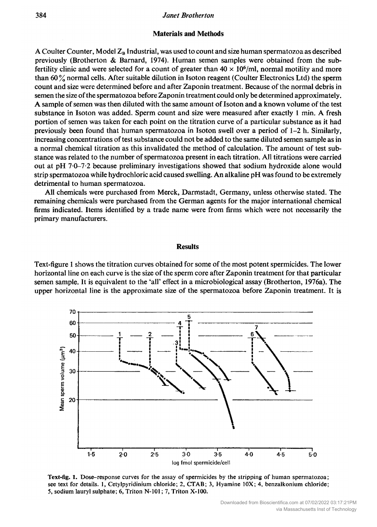#### Materials and Methods

A Coulter Counter, Model  $Z_B$  Industrial, was used to count and size human spermatozoa as described previously (Brotherton & Barnard, 1974). Human semen samples were obtained from the subfertility clinic and were selected for a count of greater than  $40 \times 10^6$ /ml, normal motility and more than 60% normal cells. After suitable dilution in Isoton reagent (Coulter Electronics Ltd) the sperm count and size were determined before and after Zaponin treatment. Because of the normal debris in semen the size ofthe spermatozoa before Zaponin treatment could only be determined approximately. A sample of semen was then diluted with the same amount of Isoton and a known volume of the test substance in Isoton was added. Sperm count and size were measured after exactly <sup>1</sup> min. A fresh portion of semen was taken for each point on the titration curve of <sup>a</sup> particular substance as it had previously been found that human spermatozoa in Isoton swell over <sup>a</sup> period of 1-2 h. Similarly, increasing concentrations of test substance could not be added to the same diluted semen sample as in a normal chemical titration as this invalidated the method of calculation. The amount of test substance was related to the number of spermatozoa present in each titration. All titrations were carried out at pH 7-0-7-2 because preliminary investigations showed that sodium hydroxide alone would strip spermatozoa while hydrochloric acid caused swelling. An alkaline pH was found to be extremely detrimental to human spermatozoa.

All chemicals were purchased from Merck, Darmstadt, Germany, unless otherwise stated. The remaining chemicals were purchased from the German agents for the major international chemical firms indicated. Items identified by a trade name were from firms which were not necessarily the primary manufacturers.

#### Results

Text-figure <sup>1</sup> shows the titration curves obtained for some of the most potent spermicides. The lower horizontal line on each curve is the size of the sperm core after Zaponin treatment for that particular semen sample. It is equivalent to the 'all' effect in <sup>a</sup> microbiological assay (Brotherton, 1976a). The upper horizontal line is the approximate size of the spermatozoa before Zaponin treatment. It is



Text-fig. 1. Dose-response curves for the assay of spermicides by the stripping of human spermatozoa; see text for details. 1, Cetylpyridinium chloride; 2, CTAB; 3, Hyamine 10X; 4, benzalkonium chloride; 5, sodium lauryl sulphate; 6, Triton N-101 ; 7, Triton X-100.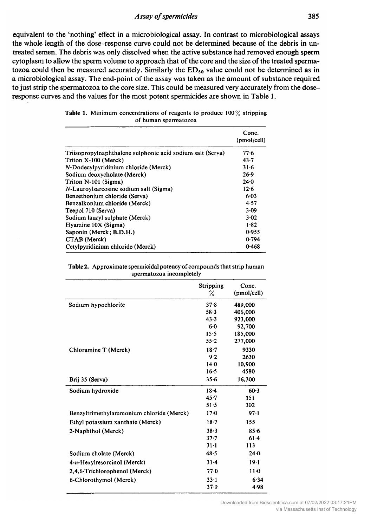equivalent to the 'nothing' effect in a microbiological assay. In contrast to microbiological assays the whole length of the dose-response curve could not be determined because of the debris in untreated semen. The debris was only dissolved when the active substance had removed enough sperm cytoplasm to allow the sperm volume to approach that of the core and the size of the treated spermatozoa could then be measured accurately. Similarly the  $ED<sub>50</sub>$  value could not be determined as in <sup>a</sup> microbiological assay. The end-point of the assay was taken as the amount of substance required to just strip the spermatozoa to the core size. This could be measured very accurately from the doseresponse curves and the values for the most potent spermicides are shown in Table 1.

|                                                            | Conc.<br>(pmol/cell) |
|------------------------------------------------------------|----------------------|
| Triisopropylnaphthalene sulphonic acid sodium salt (Serva) | 77.6                 |
| Triton X-100 (Merck)                                       | $43 - 7$             |
| N-Dodecylpyridinium chloride (Merck)                       | $31 - 6$             |
| Sodium deoxycholate (Merck)                                | 26.9                 |
| Triton N-101 (Sigma)                                       | $24 - 0$             |
| N-Lauroylsarcosine sodium salt (Sigma)                     | 12.6                 |
| Benzethonium chloride (Serva)                              | $6 - 03$             |
| Benzalkonium chloride (Merck)                              | 4.57                 |
| Teepol 710 (Serva)                                         | 3.09                 |
| Sodium lauryl sulphate (Merck)                             | 3.02                 |
| Hyamine 10X (Sigma)                                        | $1 - 82$             |
| Saponin (Merck; B.D.H.)                                    | 0.955                |
| CTAB (Merck)                                               | 0.794                |
| Cetylpyridinium chloride (Merck)                           | 0.468                |

|  | <b>Table 1.</b> Minimum concentrations of reagents to produce 100% stripping |  |  |  |
|--|------------------------------------------------------------------------------|--|--|--|
|  | of human spermatozoa                                                         |  |  |  |

| <b>Table 2.</b> Approximate spermicidal potency of compounds that strip human |
|-------------------------------------------------------------------------------|
| spermatozoa incompletely                                                      |

|                                          | Stripping<br>% | Conc.<br>(pmol/cell) |
|------------------------------------------|----------------|----------------------|
| Sodium hypochlorite                      | 37.8           | 489,000              |
|                                          | $58 - 3$       | 406,000              |
|                                          | 43.3           | 923,000              |
|                                          | $6 - 0$        | 92,700               |
|                                          | 15.5           | 185,000              |
|                                          | $55 - 2$       | 277,000              |
| Chloramine T (Merck)                     | $18 - 7$       | 9330                 |
|                                          | $9 - 2$        | 2630                 |
|                                          | $14 - 0$       | 10,900               |
|                                          | $16 - 5$       | 4580                 |
| Brij 35 (Serva)                          | 35.6           | 16,300               |
| Sodium hydroxide                         | $18 - 4$       | $60-3$               |
|                                          | $45 - 7$       | 151                  |
|                                          | 51.5           | 302                  |
| Benzyltrimethylammonium chloride (Merck) | 17.0           | 97.1                 |
| Ethyl potassium xanthate (Merck)         | $18 - 7$       | 155                  |
| 2-Naphthol (Merck)                       | 38.3           | $85 - 6$             |
|                                          | $37 - 7$       | 61.4                 |
|                                          | $31 - 1$       | 113                  |
| Sodium cholate (Merck)                   | 48.5           | 24.0                 |
| 4-n-Hexylresorcinol (Merck)              | $31 - 4$       | 19.1                 |
| 2,4,6-Trichlorophenol (Merck)            | 77.0           | $11-0$               |
| 6-Chlorothymol (Merck)                   | $33 - 1$       | 6.34                 |
|                                          | 37.9           | 4.98                 |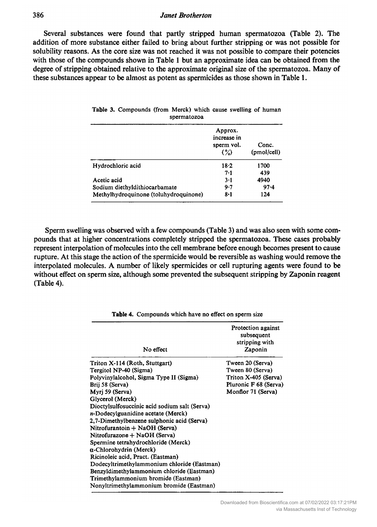#### **Janet Brotherton**

Several substances were found that partly stripped human spermatozoa (Table 2). The addition of more substance either failed to bring about further stripping or was not possible for solubility reasons. As the core size was not reached it was not possible to compare their potencies with those of the compounds shown in Table <sup>1</sup> but an approximate idea can be obtained from the degree of stripping obtained relative to the approximate original size of the spermatozoa. Many of these substances appear to be almost as potent as spermicides as those shown in Table 1.

|                                       | Approx.<br>increase in<br>sperm vol.<br>$\mathcal{O}(\mathcal{O})$ | Conc.<br>(pmol/cell) |
|---------------------------------------|--------------------------------------------------------------------|----------------------|
| Hydrochloric acid                     | $18 - 2$                                                           | 1700                 |
|                                       | 7.1                                                                | 439                  |
| Acetic acid                           | $3-1$                                                              | 4940                 |
| Sodium diethyldithiocarbamate         | 9.7                                                                | $97 - 4$             |
| Methylhydroquinone (toluhydroquinone) | $8 - 1$                                                            | 124                  |

|             | <b>Table 3.</b> Compounds (from Merck) which cause swelling of human |  |  |  |  |  |  |  |
|-------------|----------------------------------------------------------------------|--|--|--|--|--|--|--|
| spermatozoa |                                                                      |  |  |  |  |  |  |  |

Sperm swelling was observed with <sup>a</sup> few compounds (Table 3) and was also seen with some com pounds that at higher concentrations completely stripped the spermatozoa. These cases probably represent interpolation of molecules into the cell membrane before enough becomes present to cause rupture. At this stage the action of the spermicide would be reversible as washing would remove the interpolated molecules. A number of likely spermicides or cell rupturing agents were found to be without effect on sperm size, although some prevented the subsequent stripping by Zaponin reagent (Table 4).

| No effect                                     | Protection against<br>subsequent<br>stripping with<br>Zaponin |
|-----------------------------------------------|---------------------------------------------------------------|
| Triton X-114 (Roth, Stuttgart)                | Tween 20 (Serva)                                              |
| Tergitol NP-40 (Sigma)                        | Tween 80 (Serva)                                              |
| Polyvinylalcohol, Sigma Type II (Sigma)       | Triton X-405 (Serva)                                          |
| Brij 58 (Serva)                               | Pluronic F 68 (Serva)                                         |
| Myrj 59 (Serva)                               | Monflor 71 (Serva)                                            |
| Glycerol (Merck)                              |                                                               |
| Dioctylsulfosuccinic acid sodium salt (Serva) |                                                               |
| n-Dodecylguanidine acetate (Merck)            |                                                               |
| 2,7-Dimethylbenzene sulphonic acid (Serva)    |                                                               |
| Nitrofurantoin + NaOH (Serva)                 |                                                               |
| Nitrofurazone + NaOH (Serva)                  |                                                               |
| Spermine tetrahydrochloride (Merck)           |                                                               |
| a-Chlorohydrin (Merck)                        |                                                               |
| Ricinoleic acid, Pract. (Eastman)             |                                                               |
| Dodecyltrimethylammonium chloride (Eastman)   |                                                               |
| Benzyldimethylammonium chloride (Eastman)     |                                                               |
| Trimethylammonium bromide (Eastman)           |                                                               |
| Nonyltrimethylammonium bromide (Eastman)      |                                                               |

Table 4. Compounds which have no effect on sperm size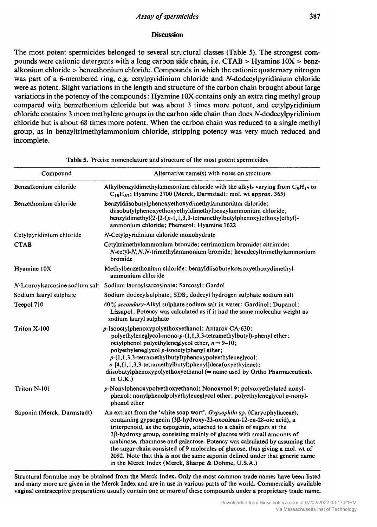## **Discussion**

The most potent spermicides belonged to several structural classes (Table 5). The strongest com pounds were cationic detergents with a long carbon side chain, i.e. CTAB > Hyamine  $10X >$  benzalkonium chloride > benzethonium chloride. Compounds in which the cationic quaternary nitrogen was part of a 6-membered ring, e.g. cetylpyridinium chloride and N-dodecylpyridinium chloride were as potent. Slight variations in the length and structure of the carbon chain brought about large variations in the potency of the compounds: Hyamine 10X contains only an extra ring methyl group compared with benzethonium chloride but was about <sup>3</sup> times more potent, and cetylpyridinium chloride contains 3 more methylene groups in the carbon side chain than does *N*-dodecylpyridinium chloride but is about <sup>68</sup> times more potent. When the carbon chain was reduced to <sup>a</sup> single methyl group, as in benzyltrimethylammonium chloride, stripping potency was very much reduced and incomplete.

| Compound                   | Alternative name(s) with notes on stuctuure                                                                                                                                                                                                                                                                                                                                                                                                                                                                                                                                                                 |
|----------------------------|-------------------------------------------------------------------------------------------------------------------------------------------------------------------------------------------------------------------------------------------------------------------------------------------------------------------------------------------------------------------------------------------------------------------------------------------------------------------------------------------------------------------------------------------------------------------------------------------------------------|
| Benzalkonium chloride      | Alkylbenzyldimethylammonium chloride with the alkyls varying from $C_RH_{17}$ to<br>$C_{18}H_{37}$ ; Hyamine 3700 (Merck, Darmstadt: mol. wt approx. 365)                                                                                                                                                                                                                                                                                                                                                                                                                                                   |
| Benzethonium chloride      | Benzyldiisobutylphenoxyethoxydimethylammonium chloride;<br>diisobutylphenoxyethoxyethyldimethylbenzylammonium chloride;<br>benzyldimethyl $\{2-[2-(p-1,1,3,3-tetramethylbutylphenoxy)ethoxy]ethyl\}$ -<br>ammonium chloride; Phemerol; Hyamine 1622                                                                                                                                                                                                                                                                                                                                                         |
| Cetylpyridinium chloride   | $N$ -Cetylpyridinium chloride monohydrate                                                                                                                                                                                                                                                                                                                                                                                                                                                                                                                                                                   |
| <b>CTAB</b>                | Cetyltrimethylammonium bromide; cetrimonium bromide; citrimide;<br>$N$ -cetyl- $N, N, N$ -trimethylammonium bromide; hexadecyltrimethylammonium<br>bromide                                                                                                                                                                                                                                                                                                                                                                                                                                                  |
| Hyamine 10X                | Methylbenzethonium chloride; benzyldiisobutylcresoxyethoxydimethyl-<br>ammonium chloride                                                                                                                                                                                                                                                                                                                                                                                                                                                                                                                    |
|                            | N-Lauroylsarcosine sodium salt Sodium lauroylsarcosinate; Sarcosyl; Gardol                                                                                                                                                                                                                                                                                                                                                                                                                                                                                                                                  |
| Sodium lauryl sulphate     | Sodium dodecylsulphate; SDS; dodecyl hydrogen sulphate sodium salt                                                                                                                                                                                                                                                                                                                                                                                                                                                                                                                                          |
| Teepol 710                 | 40% secondary-Alkyl sulphate sodium salt in water; Gardinol; Dupanol;<br>Lissapol; Potency was calculated as if it had the same molecular weight as<br>sodium lauryl sulphate                                                                                                                                                                                                                                                                                                                                                                                                                               |
| Triton X-100               | p-Isooctylphenoxypolyethoxyethanol; Antarox CA-630;<br>polyethyleneglycol-mono-p-(1,1,3,3-tetramethylbutyl)-phenyl ether;<br>octylphenol polyethyleneglycol ether, $n = 9-10$ ;<br>polyethyleneglycol p-isooctylphenyl ether;<br>$p-(1,1,3,3$ -tetramethylbutyl)phenoxypolyethyleneglycol;<br>$o$ -[4,(1,1,3,3-tetramethylbutyl)phenyl]deca(oxyethylene);<br>diisobutylphenoxypolyethoxyethanol (= name used by Ortho Pharmaceuticals<br>in U.K.)                                                                                                                                                           |
| Triton N-101               | p-Nonylphenoxypolyethoxyethanol; Nonoxynol 9; polyoxyethylated nonyl-<br>phenol; nonylphenolpolyethyleneglycol ether; polyethyleneglycol p-nonyl-<br>phenol ether                                                                                                                                                                                                                                                                                                                                                                                                                                           |
| Saponin (Merck, Darmstadt) | An extract from the 'white soap wort', Gypsophila sp. (Caryophyllaceae),<br>containing gypsogenin (3β-hydroxy-23-oxoolean-12-en-28-oic acid), a<br>triterpenoid, as the sapogenin, attached to a chain of sugars at the<br>$3\beta$ -hydroxy group, consisting mainly of glucose with small amounts of<br>arabinose, rhamnose and galactose. Potency was calculated by assuming that<br>the sugar chain consisted of 9 molecules of glucose, thus giving a mol. wt of<br>2092. Note that this is not the same saponin defined under that generic name<br>in the Merck Index (Merck, Sharpe & Dohme, U.S.A.) |

Table 5. Precise nomenclature and structure of the most potent spermicides

Structural formulae may be obtained from the Merck Index. Only the most common trade names have been listed and many more are given in the Merck Index and are in use in various parts of the world. Commercially available vaginal contraceptive preparations usually contain one or more of these compounds under <sup>a</sup> proprietary trade name.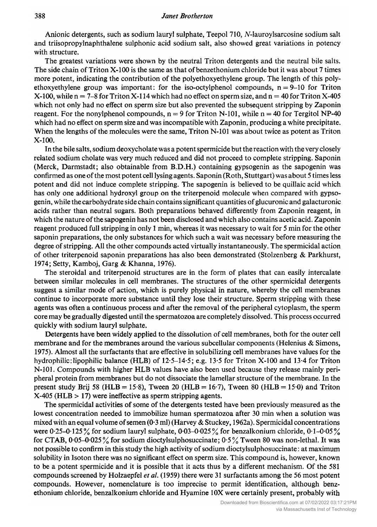#### **Janet Brotherton**

Anionic detergents, such as sodium lauryl sulphate, Teepol 710, N-lauroylsarcosine sodium salt and triisopropylnaphthalene sulphonic acid sodium salt, also showed great variations in potency with structure.

The greatest variations were shown by the neutral Triton detergents and the neutral bile salts. The side chain of Triton X-100 is the same as that ofbenzethonium chloride but it was about <sup>7</sup> times more potent, indicating the contribution of the polyethoxyethylene group. The length of this polyethoxyethylene group was important: for the iso-octylphenol compounds,  $n = 9-10$  for Triton  $X-100$ , while  $n = 7-8$  for Triton X-114 which had no effect on sperm size, and  $n = 40$  for Triton X-405 which not only had no effect on sperm size but also prevented the subsequent stripping by Zaponin reagent. For the nonylphenol compounds,  $n = 9$  for Triton N-101, while  $n = 40$  for Tergitol NP-40 which had no effect on sperm size and was incompatible with Zaponin, producing a white precipitate. When the lengths of the molecules were the same, Triton N-101 was about twice as potent as Triton X-100.

In the bile salts, sodium deoxycholate was <sup>a</sup> potent spermicide but the reaction with the very closely related sodium cholate was very much reduced and did not proceed to complete stripping. Saponin (Merck, Darmstadt; also obtainable from B.D.H.) containing gypsogenin as the sapogenin was confirmed as one ofthe most potent cell lysing agents. Saponin (Roth, Stuttgart) was about <sup>5</sup> times less potent and did not induce complete stripping. The sapogenin is believed to be quillaic acid which has only one additional hydroxyl group on the triterpenoid molecule when compared with gypsogenin, while the carbohydrate side chain contains significant quantities ofglucuronic and galacturonic acids rather than neutral sugars. Both preparations behaved differently from Zaponin reagent, in which the nature ofthe sapogenin has not been disclosed and which also contains acetic acid. Zaponin reagent produced full stripping in only <sup>1</sup> min, whereas it was necessary to wait for <sup>5</sup> min for the other saponin preparations, the only substances for which such <sup>a</sup> wait was necessary before measuring the degree of stripping. All the other compounds acted virtually instantaneously. The spermicidal action of other triterpenoid saponin preparations has also been demonstrated (Stolzenberg  $\&$  Parkhurst, 1974; Setty, Kamboj, Garg & Khanna, 1976).

The steroidal and triterpenoid structures are in the form of plates that can easily intercalate between similar molecules in cell membranes. The structures of the other spermicidal detergents suggest a similar mode of action, which is purely physical in nature, whereby the cell membranes continue to incorporate more substance until they lose their structure. Sperm stripping with these agents was often <sup>a</sup> continuous process and after the removal of the peripheral cytoplasm, the sperm core may be gradually digested until the spermatozoa are completely dissolved. This process occurred quickly with sodium lauryl sulphate.

Detergents have been widely applied to the dissolution of cell membranes, both for the outer cell membrane and for the membranes around the various subcellular components (Helenius & Simons, 1975). Almost all the surfactants that are effective in solubilizing cell membranes have values for the hydrophilic: lipophilic balance (HLB) of 12.5–14.5; e.g. 13.5 for Triton X-100 and 13.4 for Triton N-101. Compounds with higher HLB values have also been used because they release mainly peripheral protein from membranes but do not dissociate the lamellar structure of the membrane. In the present study Brij 58 (HLB = 15.8), Tween 20 (HLB = 16.7), Tween 80 (HLB = 15.0) and Triton X-405 (HLB > 17) were ineffective as sperm stripping agents.

The spermicidal activities of some of the detergents tested have been previously measured as the lowest concentration needed to immobilize human spermatozoa after <sup>30</sup> min when <sup>a</sup> solution was mixed with an equal volume of semen  $(0.3 \text{ ml})$  (Harvey & Stuckey, 1962a). Spermicidal concentrations were 0.25-0.125% for sodium lauryl sulphate, 0.03-0.025% for benzalkonium chloride, 0.1-0.05% for CTAB, 0.05-0.025% for sodium dioctylsulphosuccinate;  $0.5\%$  Tween 80 was non-lethal. It was not possible to confirm in this study the high activity of sodium dioctylsulphosuccinate : at maximum solubility in Isoton there was no significant effect on sperm size. This compound is, however, known to be <sup>a</sup> potent spermicide and it is possible that it acts thus by <sup>a</sup> different mechanism. Of the <sup>581</sup> compounds screened by Holzaepfel et al. (1959) there were <sup>31</sup> surfactants among the <sup>56</sup> most potent compounds. However, nomenclature is too imprecise to permit identification, although benzethonium chloride, benzalkonium chloride and Hyamine 10X were certainly present, probably with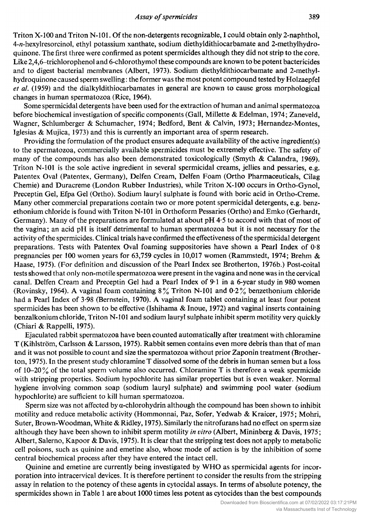#### **Assay of spermicides**

Triton X-100 and Triton N-101. Of the non-detergents recognizable, I could obtain only 2-naphthol, 4-n-hexylresorcinol, ethyl potassium xanthate, sodium diethyldithiocarbamate and 2-methylhydroquinone. The first three were confirmed as potent spermicides although they did not strip to the core. Like 2,4,6-trichlorophenol and 6-chlorothymol these compounds are known to be potent bactericides and to digest bacterial membranes (Albert, 1973). Sodium diethyldithiocarbamate and 2-methylhydroquinone caused sperm swelling : the former was the most potent compound tested by Holzaepfel et al. (1959) and the dialkyldithiocarbamates in general are known to cause gross morphological changes in human spermatozoa (Rice, 1964).

Some spermicidal detergents have been used for the extraction of human and animal spermatozoa before biochemical investigation of specific components (Gall, Millette & Edelman, 1974; Zaneveld, Wagner, Schlumberger & Schumacher, 1974; Bedford, Bent & Calvin, 1973; Hernandez-Montes, Iglesias & Mujica, 1973) and this is currently an important area of sperm research.

Providing the formulation of the product ensures adequate availability of the active ingredient(s) to the spermatozoa, commercially available spermicides must be extremely effective. The safety of many of the compounds has also been demonstrated toxicologically (Smyth & Calandra, 1969). Triton N-101 is the sole active ingredient in several spermicidal creams, jellies and pessaries, e.g. Patentex Oval (Patentex, Germany), Delfen Cream, Delfen Foam (Ortho Pharmaceuticals, Cilag Chemie) and Duracreme (London Rubber Industries), while Triton X-100 occurs in Ortho-Gynol, Preceptin Gel, Efpa Gel (Ortho). Sodium lauryl sulphate is found with boric acid in Ortho-Creme. Many other commercial preparations contain two or more potent spermicidal detergents, e.g. benzethonium chloride is found with Triton N-101 in Orthoform Pessaries (Ortho) and Emko (Gerhardt, Germany). Many of the preparations are formulated at about pH 4-5 to accord with that of most of the vagina; an acid pH is itself detrimental to human spermatozoa but it is not necessary for the activity of the spermicides. Clinical trials have confirmed the effectiveness of the spermicidal detergent preparations. Tests with Patentex Oval foaming suppositories have shown <sup>a</sup> Pearl Index of 0-8 pregnancies per <sup>100</sup> women years for 63,759 cycles in 10,017 women (Rammstedt, 1974; Brehm & Haase, 1975). (For definition and discussion of the Pearl Index see Brotherton, 1976b.) Post-coital tests showed that only non-motile spermatozoa were present in the vagina and none was in the cervical canal. Delfen Cream and Preceptin Gel had a Pearl Index of 9-1 in <sup>a</sup> 6-year study in 980 women (Rovinsky, 1964). A vaginal foam containing 8% Triton N-101 and 0-2% benzethonium chloride had <sup>a</sup> Pearl Index of 3-98 (Bernstein, 1970). A vaginal foam tablet containing at least four potent spermicides has been shown to be effective (Ishihama & Inoue, 1972) and vaginal inserts containing benzalkonium chloride, Triton N-101 and sodium lauryl sulphate inhibit sperm motiiity very quickly (Chiari & Rappelli, 1975).

Ejaculated rabbit spermatozoa have been counted automatically after treatment with chloramine (Kihlström, Carlsson & Larsson, 1975). Rabbit semen contains even more debris than that of man and it was not possible to count and size the spermatozoa without prior Zaponin treatment (Brotherton, 1975). In the present study chloramine T dissolved some of the debris in human semen but a loss of  $10-20\%$  of the total sperm volume also occurred. Chloramine T is therefore a weak spermicide with stripping properties. Sodium hypochlorite has similar properties but is even weaker. Normal hygiene involving common soap (sodium lauryl sulphate) and swimming pool water (sodium hypochlorite) are sufficient to kill human spermatozoa.

Sperm size was not affected by  $\alpha$ -chlorohydrin although the compound has been shown to inhibit motiiity and reduce metabolic activity (Hommonnai, Paz, Sofer, Yedwab & Kraicer, 1975; Mohri, Suter, Brown-Woodman, White & Ridley, 1975). Similarly the nitrofurans had no effect on sperm size although they have been shown to inhibit sperm motility in vitro (Albert, Mininberg & Davis, 1975; Albert, Salerno, Kapoor & Davis, 1975). It is clear that the stripping test does not apply to metabolic cell poisons, such as quinine and emetine also, whose mode of action is by the inhibition of some central biochemical process after they have entered the intact cell.

Quinine and emetine are currently being investigated by WHO as spermicidal agents for incorporation into intracervical devices. It is therefore pertinent to consider the results from the stripping assay in relation to the potency of these agents in cytocidal assays. In terms of absolute potency, the spermicides shown in Table <sup>1</sup> are about <sup>1000</sup> times less potent as cytocides than the best compounds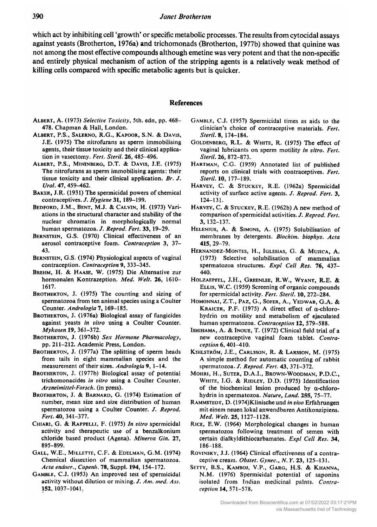which act by inhibiting cell 'growth' or specific metabolic processes. The results from cytocidal assays against yeasts (Brotherton, 1976a) and trichomonads (Brotherton, 1977b) showed that quinine was not among the most effective compounds although emetine was very potent and that the non-specific and entirely physical mechanism of action of the stripping agents is <sup>a</sup> relatively weak method of killing cells compared with specific metabolic agents but is quicker.

### References

- ALBERT, A. (1973) Selective Toxicity, 5th. edn, pp. 468-478. Chapman & Hall, London.
- Albert, P.S., Salerno, R.G., Kapoor, S.N. & Davis, J.E. (1975) The nitrofurans as sperm immobilising agents, their tissue toxicity and their clinical application in vasectomy. Fert. Steril. 26, 485-496.
- Albert, P.S., Mininbero, D.T. & Davis, J.E. (1975) The nitrofurans as sperm immobilising agents: their tissue toxicity and their clinical application. Br. J. Urol. 47, 459-462.
- Baker, J.R. (1931) The spermicidal powers of chemical contraceptives. J. Hygiene 31, 189-199.
- Bedford, J.M., Bent, M.J. & Calvin, H. (1973) Vari ations in the structural character and stability of the nuclear chromatin in morphologically normal human spermatozoa. J. Reprod. Fert. 33, 19-29.
- BERNSTEIN, G.S. (1970) Clinical effectiveness of an aerosol contraceptive foam. Contraception 3, 37- 43.
- BERNSTEIN, G.S. (1974) Physiological aspects of vaginal contraception. Contraception 9, 333-345.
- Brehm, H. & Haase, W. (1975) Die Alternative zur hormonalen Kontrazeption. Med. Welt. 26, 1610-1617.
- BROTHERTON, J. (1975) The counting and sizing of spermatozoa from ten animal species using <sup>a</sup> Coulter Counter. Andrologia 7, 169-185.
- BROTHERTON, J. (1976a) Biological assay of fungicides against yeasts in vitro using <sup>a</sup> Coulter Counter. Mykosen 19, 361-372.
- BROTHERTON, J. (1976b) Sex Hormone Pharmacology, pp. 211-212. Academic Press, London.
- BROTHERTON, J. (1977a) The splitting of sperm heads from tails in eight mammalian species and the measurement of their sizes. Andrologia 9, 1-14.
- Brotherton, J. (1977b) Biological assay of potential trichomonacides in vitro using a Coulter Counter. Arzneimittel-Forsch. (in press).
- BROTHERTON, J. & BARNARD, G. (1974) Estimation of number, mean size and size distribution of human spermatozoa using a Coulter Counter. J. Reprod. Fert. 40, 341-377.
- Chiari, G. & Rappelli, F. (1975) In vitro spermicidal activity and therapeutic use of <sup>a</sup> benzalkonium chloride based product (Agena). Minerva Gin. 27, 895-899.
- Gall, W.E., Millette, CF. & Edelman, G.M. (1974) Chemical dissection of mammalian spermatozoa. Acta endocr., Copenh. 78, Suppl. 194, 154-172.
- Gamble, C.J. (1953) An improved test of spermicidal activity without dilution or mixing. J. Am. med. Ass. 152. 1037-1041.
- GAMBLE, C.J. (1957) Spermicidal times as aids to the clinician's choice of contraceptive materials. Fert. Steril. 8, 174-184.
- Goldenberg, R.L. & White, R. (1975) The effect of vaginal lubricants on sperm motility in vitro. Fert. Steril. 26, 872-873.
- HARTMAN, C.G. (1959) Annotated list of published reports on clinical trials with contraceptives. Fert. Steril. 10, 177-189.
- Harvey, C. & Stuckey, R.E. (1962a) Spermicidal activity of surface active agents. J. Reprod. Fert. 3. 124-131.
- Harvey, C. & Stuckey, R.E. (1962b) A new method of comparison of spermicidal activities. J. Reprod. Fert. 3, 132-137.
- Helenius, A. & Simons, A. (1975) Solubilisation of membranes by detergents. Biochim. biophys. Acta 415, 29-79.
- Hernández-Montes, H., Iglesias, G. & Mujica, A. (1973) Selective solubilisation of mammalian spermatozoa structures. Expl Cell Res. 76, 437-440.
- Holzaepfel, J.H., Greenlee, R.W., Wyant, R.E. & Ellis, W.C. (1959) Screening of organic compounds for spermicidal activity. Fert. Steril. 10, 272-284.
- HOMONNAI, Z.T., PAZ, G., SOFER, A., YEDWAB, G.A. & KRAICER, P.F. (1975) A direct effect of a-chlorohydrin on motiiity and metabolism of ejaculated human spermatozoa. Contraception 12, 579-588.
- Ishihama, A. & Inoue, T. (1972) Clinical field trial of <sup>a</sup> new contraceptive vaginal foam tablet. Contraception 6, 401-410.
- Kihlström, J.E., Carlsson, R. & Larsson, M. (1975) A simple method for automatic counting of rabbit spermatozoa. J. Reprod. Fert. 43, 371-372.
- Mohri, H., Suter, D.A.I., Brown-Woodman, P.D.C., White, I.G. & Ridley, D.D. (1975) Identification of the biochemical lesion produced by  $\alpha$ -chlorohydrin in spermatozoa. Nature, Lond. 255, 75-77.
- RAMMSTEDT, D. (1974)Klinische und in vivo Erfahrungen mit einem neuen lokal anwendbaren Antikonzipiens. Med. Welt. 25, 1127-1128.
- Rice, E.W. (1964) Morphological changes in human spermatozoa following treatment of semen with certain dialkyldithiocarbamates. Expl Cell Res. 34, 186-188.
- ROVINSKY, J.J. (1964) Clinical effectiveness of a contraceptive cream. Obstet. Gynec., N.Y. 23, 125-131.
- Setty, B.S., Kamboj, V.P., Garg, H.S. & Khanna, N.M. (1976) Spermicidal potential of saponins isolated from Indian medicinal palnts. Contraception 14, 571-578.